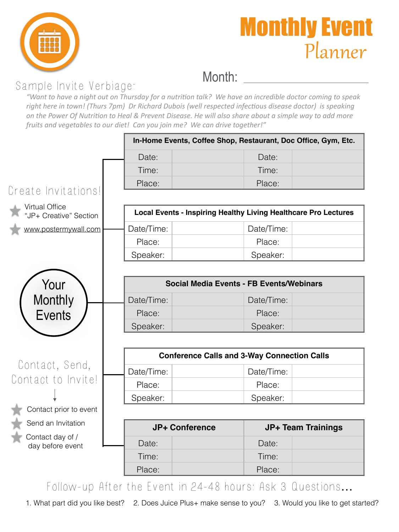



## Month:

## Sample Invite Verbiage:

"Want to have a night out on Thursday for a nutrition talk? We have an incredible doctor coming to speak right here in town! (Thurs 7pm) Dr Richard Dubois (well respected infectious disease doctor) is speaking on the Power Of Nutrition to Heal & Prevent Disease. He will also share about a simple way to add more *fruits and vegetables to our diet! Can you join me? We can drive together!"* 

|                                                 | In-Home Events, Coffee Shop, Restaurant, Doc Office, Gym, Etc.         |  |                           |  |  |  |  |  |
|-------------------------------------------------|------------------------------------------------------------------------|--|---------------------------|--|--|--|--|--|
|                                                 | Date:                                                                  |  | Date:                     |  |  |  |  |  |
|                                                 | Time:                                                                  |  | Time:                     |  |  |  |  |  |
|                                                 | Place:                                                                 |  | Place:                    |  |  |  |  |  |
| Create Invitations!                             |                                                                        |  |                           |  |  |  |  |  |
| <b>Virtual Office</b><br>"JP+ Creative" Section | <b>Local Events - Inspiring Healthy Living Healthcare Pro Lectures</b> |  |                           |  |  |  |  |  |
| www.postermywall.com                            | Date/Time:                                                             |  | Date/Time:                |  |  |  |  |  |
|                                                 | Place:                                                                 |  | Place:                    |  |  |  |  |  |
|                                                 | Speaker:                                                               |  | Speaker:                  |  |  |  |  |  |
|                                                 |                                                                        |  |                           |  |  |  |  |  |
| Your                                            | <b>Social Media Events - FB Events/Webinars</b>                        |  |                           |  |  |  |  |  |
| <b>Monthly</b>                                  | Date/Time:                                                             |  | Date/Time:                |  |  |  |  |  |
| <b>Events</b>                                   | Place:                                                                 |  | Place:                    |  |  |  |  |  |
|                                                 | Speaker:                                                               |  | Speaker:                  |  |  |  |  |  |
|                                                 |                                                                        |  |                           |  |  |  |  |  |
|                                                 | <b>Conference Calls and 3-Way Connection Calls</b>                     |  |                           |  |  |  |  |  |
| Contact, Send,                                  | Date/Time:                                                             |  | Date/Time:                |  |  |  |  |  |
| Contact to Invite!                              | Place:                                                                 |  | Place:                    |  |  |  |  |  |
|                                                 | Speaker:                                                               |  | Speaker:                  |  |  |  |  |  |
| Contact prior to event                          |                                                                        |  |                           |  |  |  |  |  |
| Send an Invitation                              | <b>JP+ Conference</b>                                                  |  | <b>JP+ Team Trainings</b> |  |  |  |  |  |
| Contact day of /<br>day before event            | Date:                                                                  |  | Date:                     |  |  |  |  |  |
|                                                 | Time:                                                                  |  | Time:                     |  |  |  |  |  |
|                                                 | Place:                                                                 |  | Place:                    |  |  |  |  |  |
|                                                 |                                                                        |  |                           |  |  |  |  |  |

Follow-up After the Event in 24-48 hours: Ask 3 Questions**…**

1. What part did you like best? 2. Does Juice Plus+ make sense to you? 3. Would you like to get started?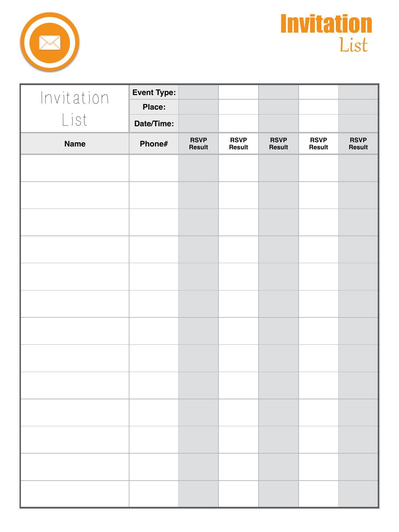



| Invitation  | <b>Event Type:</b> |                       |                       |                              |                       |                       |
|-------------|--------------------|-----------------------|-----------------------|------------------------------|-----------------------|-----------------------|
|             | <b>Place:</b>      |                       |                       |                              |                       |                       |
| List        | Date/Time:         |                       |                       |                              |                       |                       |
| <b>Name</b> | Phone#             | <b>RSVP</b><br>Result | <b>RSVP</b><br>Result | <b>RSVP</b><br><b>Result</b> | <b>RSVP</b><br>Result | <b>RSVP</b><br>Result |
|             |                    |                       |                       |                              |                       |                       |
|             |                    |                       |                       |                              |                       |                       |
|             |                    |                       |                       |                              |                       |                       |
|             |                    |                       |                       |                              |                       |                       |
|             |                    |                       |                       |                              |                       |                       |
|             |                    |                       |                       |                              |                       |                       |
|             |                    |                       |                       |                              |                       |                       |
|             |                    |                       |                       |                              |                       |                       |
|             |                    |                       |                       |                              |                       |                       |
|             |                    |                       |                       |                              |                       |                       |
|             |                    |                       |                       |                              |                       |                       |
|             |                    |                       |                       |                              |                       |                       |
|             |                    |                       |                       |                              |                       |                       |